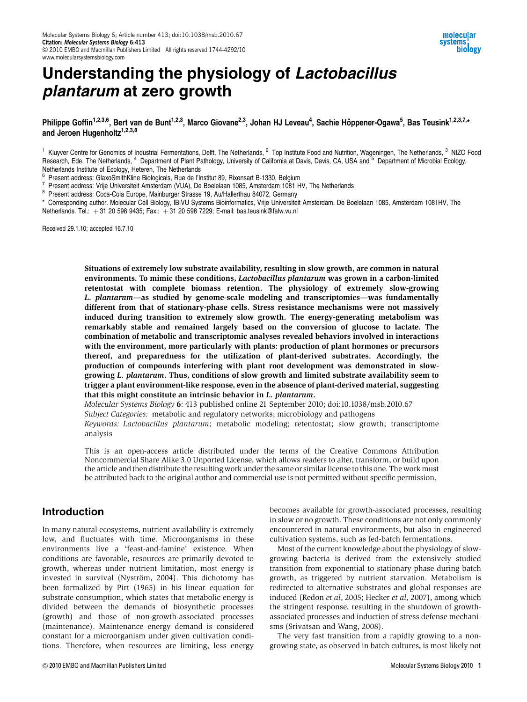# Understanding the physiology of Lactobacillus plantarum at zero growth

Philippe Goffin<sup>1,2,3,6</sup>, Bert van de Bunt<sup>1,2,3</sup>, Marco Giovane<sup>2,3</sup>, Johan HJ Leveau<sup>4</sup>, Sachie Höppener-Ogawa<sup>5</sup>, Bas Teusink<sup>1,2,3,7,</sup>\* and Jeroen Hugenholtz<sup>1,2,3,8</sup>

<sup>1</sup> Kluyver Centre for Genomics of Industrial Fermentations, Delft, The Netherlands,  $2$  Top Institute Food and Nutrition, Wageningen, The Netherlands,  $3$  NIZO Food Research, Ede, The Netherlands, <sup>4</sup> Department of Plant Pathology, University of California at Davis, Davis, CA, USA and <sup>5</sup> Department of Microbial Ecology, Netherlands Institute of Ecology, Heteren, The Netherlands<br><sup>6</sup> Present address: GlaxoSmithKline Biologicals, Rue de l'Institut 89, Rixensart B-1330, Belgium

 $7$  Present address: Vrije Universiteit Amsterdam (VUA), De Boelelaan 1085, Amsterdam 1081 HV, The Netherlands 8 Present address: Coca-Cola Europe, Mainburger Strasse 19, Au/Hallerthau 84072, Germany

\* Corresponding author. Molecular Cell Biology, IBIVU Systems Bioinformatics, Vrije Universiteit Amsterdam, De Boelelaan 1085, Amsterdam 1081HV, The Netherlands. Tel.:  $+31$  20 598 9435; Fax.:  $+31$  20 598 7229; E-mail: [bas.teusink@falw.vu.nl](mailto:bas.teusink@falw.vu.nl)

Received 29.1.10; accepted 16.7.10

Situations of extremely low substrate availability, resulting in slow growth, are common in natural environments. To mimic these conditions, Lactobacillus plantarum was grown in a carbon-limited retentostat with complete biomass retention. The physiology of extremely slow-growing L. plantarum—as studied by genome-scale modeling and transcriptomics—was fundamentally different from that of stationary-phase cells. Stress resistance mechanisms were not massively induced during transition to extremely slow growth. The energy-generating metabolism was remarkably stable and remained largely based on the conversion of glucose to lactate. The combination of metabolic and transcriptomic analyses revealed behaviors involved in interactions with the environment, more particularly with plants: production of plant hormones or precursors thereof, and preparedness for the utilization of plant-derived substrates. Accordingly, the production of compounds interfering with plant root development was demonstrated in slowgrowing L. plantarum. Thus, conditions of slow growth and limited substrate availability seem to trigger a plant environment-like response, even in the absence of plant-derived material, suggesting that this might constitute an intrinsic behavior in L. plantarum.

Molecular Systems Biology 6: 413 published online 21 September 2010; doi[:10.1038/msb.2010.67](http://dx.doi.org/10.1038/msb.2010.67)

Subject Categories: metabolic and regulatory networks; microbiology and pathogens

Keywords: Lactobacillus plantarum; metabolic modeling; retentostat; slow growth; transcriptome analysis

This is an open-access article distributed under the terms of the Creative Commons Attribution Noncommercial Share Alike 3.0 Unported License, which allows readers to alter, transform, or build upon the article and then distribute the resulting work under the same or similar license to this one. Thework must be attributed back to the original author and commercial use is not permitted without specific permission.

# Introduction

In many natural ecosystems, nutrient availability is extremely low, and fluctuates with time. Microorganisms in these environments live a 'feast-and-famine' existence. When conditions are favorable, resources are primarily devoted to growth, whereas under nutrient limitation, most energy is invested in survival (Nyström, 2004). This dichotomy has been formalized by [Pirt](#page-10-0) (1965) in his linear equation for substrate consumption, which states that metabolic energy is divided between the demands of biosynthetic processes (growth) and those of non-growth-associated processes (maintenance). Maintenance energy demand is considered constant for a microorganism under given cultivation conditions. Therefore, when resources are limiting, less energy becomes available for growth-associated processes, resulting in slow or no growth. These conditions are not only commonly encountered in natural environments, but also in engineered cultivation systems, such as fed-batch fermentations.

Most of the current knowledge about the physiology of slowgrowing bacteria is derived from the extensively studied transition from exponential to stationary phase during batch growth, as triggered by nutrient starvation. Metabolism is redirected to alternative substrates and global responses are induced ([Redon](#page-10-0) et al, 2005; [Hecker](#page-10-0) et al, 2007), among which the stringent response, resulting in the shutdown of growthassociated processes and induction of stress defense mechanisms [\(Srivatsan and Wang, 2008\)](#page-10-0).

The very fast transition from a rapidly growing to a nongrowing state, as observed in batch cultures, is most likely not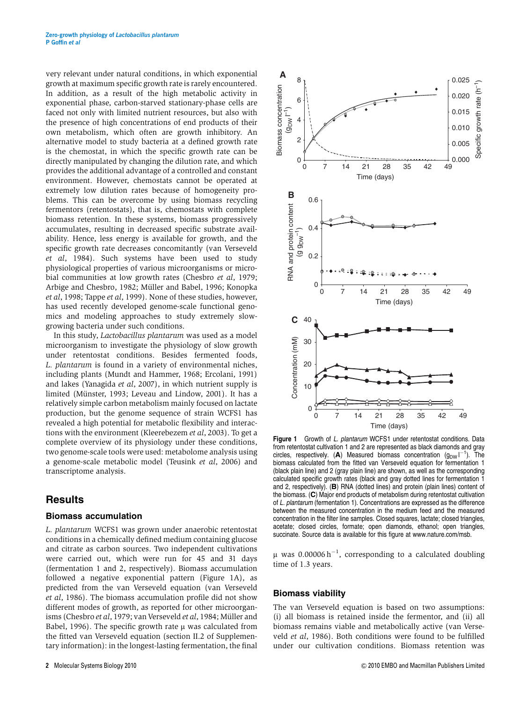<span id="page-1-0"></span>very relevant under natural conditions, in which exponential growth at maximum specific growth rate is rarely encountered. In addition, as a result of the high metabolic activity in exponential phase, carbon-starved stationary-phase cells are faced not only with limited nutrient resources, but also with the presence of high concentrations of end products of their own metabolism, which often are growth inhibitory. An alternative model to study bacteria at a defined growth rate is the chemostat, in which the specific growth rate can be directly manipulated by changing the dilution rate, and which provides the additional advantage of a controlled and constant environment. However, chemostats cannot be operated at extremely low dilution rates because of homogeneity problems. This can be overcome by using biomass recycling fermentors (retentostats), that is, chemostats with complete biomass retention. In these systems, biomass progressively accumulates, resulting in decreased specific substrate availability. Hence, less energy is available for growth, and the specific growth rate decreases concomitantly [\(van Verseveld](#page-11-0) et al[, 1984](#page-11-0)). Such systems have been used to study physiological properties of various microorganisms or micro-bial communities at low growth rates ([Chesbro](#page-10-0) et al, 1979; Arbige and Chesbro, 1982; Müller and Babel, 1996; Konopka et al[, 1998](#page-10-0); Tappe et al[, 1999\)](#page-10-0). None of these studies, however, has used recently developed genome-scale functional genomics and modeling approaches to study extremely slowgrowing bacteria under such conditions.

In this study, Lactobacillus plantarum was used as a model microorganism to investigate the physiology of slow growth under retentostat conditions. Besides fermented foods, L. plantarum is found in a variety of environmental niches, including plants ([Mundt and Hammer, 1968; Ercolani, 1991](#page-10-0)) and lakes ([Yanagida](#page-11-0) et al, 2007), in which nutrient supply is limited (Münster, 1993; [Leveau and Lindow, 2001\)](#page-10-0). It has a relatively simple carbon metabolism mainly focused on lactate production, but the genome sequence of strain WCFS1 has revealed a high potential for metabolic flexibility and interactions with the environment [\(Kleerebezem](#page-10-0) et al, 2003). To get a complete overview of its physiology under these conditions, two genome-scale tools were used: metabolome analysis using a genome-scale metabolic model [\(Teusink](#page-11-0) et al, 2006) and transcriptome analysis.

# **Results**

### Biomass accumulation

L. plantarum WCFS1 was grown under anaerobic retentostat conditions in a chemically defined medium containing glucose and citrate as carbon sources. Two independent cultivations were carried out, which were run for 45 and 31 days (fermentation 1 and 2, respectively). Biomass accumulation followed a negative exponential pattern (Figure 1A), as predicted from the van Verseveld equation ([van Verseveld](#page-11-0) et al[, 1986](#page-11-0)). The biomass accumulation profile did not show different modes of growth, as reported for other microorgan-isms ([Chesbro](#page-10-0) et al, 1979; [van Verseveld](#page-11-0) et al, 1984; Müller and [Babel, 1996\)](#page-10-0). The specific growth rate  $\mu$  was calculated from the fitted van Verseveld equation (section II.2 of Supplementary information): in the longest-lasting fermentation, the final



The van Verseveld equation is based on two assumptions: (i) all biomass is retained inside the fermentor, and (ii) all biomass remains viable and metabolically active [\(van Verse](#page-11-0)veld et al[, 1986\)](#page-11-0). Both conditions were found to be fulfilled under our cultivation conditions. Biomass retention was



Figure 1 Growth of L. plantarum WCFS1 under retentostat conditions. Data from retentostat cultivation 1 and 2 are represented as black diamonds and gray circles, respectively. (A) Measured biomass concentration  $(g_{DW} \rvert^{-1})$ . The biomass calculated from the fitted van Verseveld equation for fermentation 1 (black plain line) and 2 (gray plain line) are shown, as well as the corresponding calculated specific growth rates (black and gray dotted lines for fermentation 1 and 2, respectively). (B) RNA (dotted lines) and protein (plain lines) content of the biomass. (C) Major end products of metabolism during retentostat cultivation of L. plantarum (fermentation 1). Concentrations are expressed as the difference between the measured concentration in the medium feed and the measured concentration in the filter line samples. Closed squares, lactate; closed triangles, acetate; closed circles, formate; open diamonds, ethanol; open triangles, succinate. Source data is available for this figure at www.nature.com/msb.

 $\mu$  was 0.00006 h<sup>-1</sup>, corresponding to a calculated doubling

### Biomass viability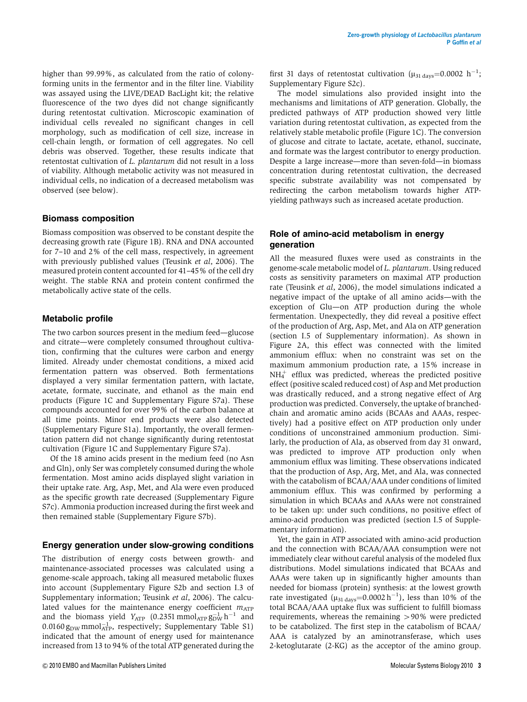higher than 99.99%, as calculated from the ratio of colonyforming units in the fermentor and in the filter line. Viability was assayed using the LIVE/DEAD BacLight kit; the relative fluorescence of the two dyes did not change significantly during retentostat cultivation. Microscopic examination of individual cells revealed no significant changes in cell morphology, such as modification of cell size, increase in cell-chain length, or formation of cell aggregates. No cell debris was observed. Together, these results indicate that retentostat cultivation of L. plantarum did not result in a loss of viability. Although metabolic activity was not measured in individual cells, no indication of a decreased metabolism was observed (see below).

#### Biomass composition

Biomass composition was observed to be constant despite the decreasing growth rate [\(Figure 1B](#page-1-0)). RNA and DNA accounted for 7–10 and 2% of the cell mass, respectively, in agreement with previously published values ([Teusink](#page-11-0) et al, 2006). The measured protein content accounted for 41–45% of the cell dry weight. The stable RNA and protein content confirmed the metabolically active state of the cells.

### Metabolic profile

The two carbon sources present in the medium feed—glucose and citrate—were completely consumed throughout cultivation, confirming that the cultures were carbon and energy limited. Already under chemostat conditions, a mixed acid fermentation pattern was observed. Both fermentations displayed a very similar fermentation pattern, with lactate, acetate, formate, succinate, and ethanol as the main end products ([Figure 1C](#page-1-0) and Supplementary Figure S7a). These compounds accounted for over 99% of the carbon balance at all time points. Minor end products were also detected (Supplementary Figure S1a). Importantly, the overall fermentation pattern did not change significantly during retentostat cultivation [\(Figure 1C](#page-1-0) and Supplementary Figure S7a).

Of the 18 amino acids present in the medium feed (no Asn and Gln), only Ser was completely consumed during the whole fermentation. Most amino acids displayed slight variation in their uptake rate. Arg, Asp, Met, and Ala were even produced as the specific growth rate decreased (Supplementary Figure S7c). Ammonia production increased during the first week and then remained stable (Supplementary Figure S7b).

#### Energy generation under slow-growing conditions

The distribution of energy costs between growth- and maintenance-associated processes was calculated using a genome-scale approach, taking all measured metabolic fluxes into account (Supplementary Figure S2b and section I.3 of Supplementary information; [Teusink](#page-11-0) et al, 2006). The calculated values for the maintenance energy coefficient  $m_{ATP}$ and the biomass yield  $Y_{ATP}$  (0.2351 mmol<sub>ATP</sub>  $g_{DW}^{-1}$  h<sup>-1</sup> and 0.0160  $g_{DW}$  mmol $_{ATP}^{-1}$ , respectively; Supplementary Table S1) indicated that the amount of energy used for maintenance increased from 13 to 94% of the total ATP generated during the

first 31 days of retentostat cultivation  $(\mu_{31 \text{ days}} = 0.0002 \text{ h}^{-1})$ ; Supplementary Figure S2c).

The model simulations also provided insight into the mechanisms and limitations of ATP generation. Globally, the predicted pathways of ATP production showed very little variation during retentostat cultivation, as expected from the relatively stable metabolic profile [\(Figure 1C\)](#page-1-0). The conversion of glucose and citrate to lactate, acetate, ethanol, succinate, and formate was the largest contributor to energy production. Despite a large increase—more than seven-fold—in biomass concentration during retentostat cultivation, the decreased specific substrate availability was not compensated by redirecting the carbon metabolism towards higher ATPyielding pathways such as increased acetate production.

### Role of amino-acid metabolism in energy generation

All the measured fluxes were used as constraints in the genome-scale metabolic model of L. plantarum. Using reduced costs as sensitivity parameters on maximal ATP production rate [\(Teusink](#page-11-0) et al, 2006), the model simulations indicated a negative impact of the uptake of all amino acids—with the exception of Glu—on ATP production during the whole fermentation. Unexpectedly, they did reveal a positive effect of the production of Arg, Asp, Met, and Ala on ATP generation (section I.5 of Supplementary information). As shown in [Figure 2A,](#page-3-0) this effect was connected with the limited ammonium efflux: when no constraint was set on the maximum ammonium production rate, a 15% increase in  $NH_4^+$  efflux was predicted, whereas the predicted positive effect (positive scaled reduced cost) of Asp and Met production was drastically reduced, and a strong negative effect of Arg production was predicted. Conversely, the uptake of branchedchain and aromatic amino acids (BCAAs and AAAs, respectively) had a positive effect on ATP production only under conditions of unconstrained ammonium production. Similarly, the production of Ala, as observed from day 31 onward, was predicted to improve ATP production only when ammonium efflux was limiting. These observations indicated that the production of Asp, Arg, Met, and Ala, was connected with the catabolism of BCAA/AAA under conditions of limited ammonium efflux. This was confirmed by performing a simulation in which BCAAs and AAAs were not constrained to be taken up: under such conditions, no positive effect of amino-acid production was predicted (section I.5 of Supplementary information).

Yet, the gain in ATP associated with amino-acid production and the connection with BCAA/AAA consumption were not immediately clear without careful analysis of the modeled flux distributions. Model simulations indicated that BCAAs and AAAs were taken up in significantly higher amounts than needed for biomass (protein) synthesis: at the lowest growth rate investigated ( $\mu_{31 \text{ days}}$ =0.0002 h<sup>-1</sup>), less than 10% of the total BCAA/AAA uptake flux was sufficient to fulfill biomass requirements, whereas the remaining  $> 90\%$  were predicted to be catabolized. The first step in the catabolism of BCAA/ AAA is catalyzed by an aminotransferase, which uses 2-ketoglutarate (2-KG) as the acceptor of the amino group.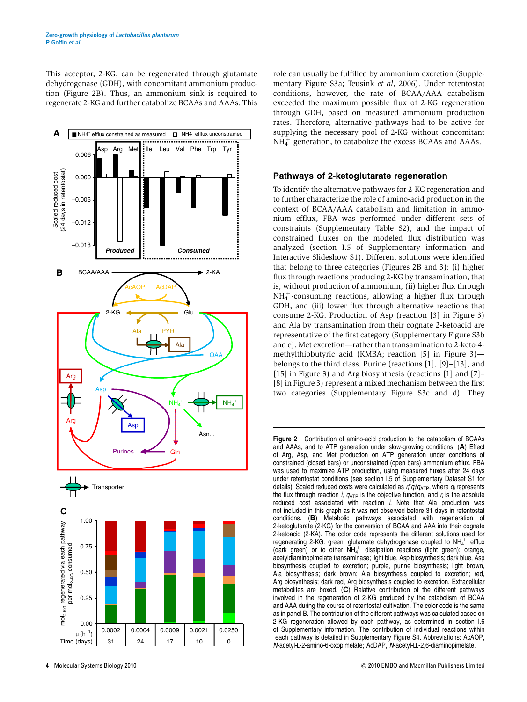<span id="page-3-0"></span>This acceptor, 2-KG, can be regenerated through glutamate dehydrogenase (GDH), with concomitant ammonium production (Figure 2B). Thus, an ammonium sink is required to regenerate 2-KG and further catabolize BCAAs and AAAs. This



role can usually be fulfilled by ammonium excretion (Supplementary Figure S3a; [Teusink](#page-11-0) et al, 2006). Under retentostat conditions, however, the rate of BCAA/AAA catabolism exceeded the maximum possible flux of 2-KG regeneration through GDH, based on measured ammonium production rates. Therefore, alternative pathways had to be active for supplying the necessary pool of 2-KG without concomitant NH4 <sup>þ</sup> generation, to catabolize the excess BCAAs and AAAs.

### Pathways of 2-ketoglutarate regeneration

To identify the alternative pathways for 2-KG regeneration and to further characterize the role of amino-acid production in the context of BCAA/AAA catabolism and limitation in ammonium efflux, FBA was performed under different sets of constraints (Supplementary Table S2), and the impact of constrained fluxes on the modeled flux distribution was analyzed (section I.5 of Supplementary information and Interactive Slideshow S1). Different solutions were identified that belong to three categories (Figures 2B and 3): (i) higher flux through reactions producing 2-KG by transamination, that is, without production of ammonium, (ii) higher flux through NH<sub>4</sub>+-consuming reactions, allowing a higher flux through GDH, and (iii) lower flux through alternative reactions that consume 2-KG. Production of Asp (reaction [3] in [Figure 3](#page-4-0)) and Ala by transamination from their cognate 2-ketoacid are representative of the first category (Supplementary Figure S3b and e). Met excretion—rather than transamination to 2-keto-4 methylthiobutyric acid (KMBA; reaction [5] in [Figure 3\)](#page-4-0) belongs to the third class. Purine (reactions [1], [9]–[13], and [15] in [Figure 3](#page-4-0)) and Arg biosynthesis (reactions [1] and [7]– [8] in [Figure 3](#page-4-0)) represent a mixed mechanism between the first two categories (Supplementary Figure S3c and d). They

Figure 2 Contribution of amino-acid production to the catabolism of BCAAs and AAAs, and to ATP generation under slow-growing conditions. (A) Effect of Arg, Asp, and Met production on ATP generation under conditions of constrained (closed bars) or unconstrained (open bars) ammonium efflux. FBA was used to maximize ATP production, using measured fluxes after 24 days under retentostat conditions (see section I.5 of Supplementary Dataset S1 for details). Scaled reduced costs were calculated as  $r_i^*q/q_{ATP}$ , where  $q_i$  represents the flux through reaction *i*,  $q_{ATP}$  is the objective function, and  $r_i$  is the absolute reduced cost associated with reaction i. Note that Ala production was not included in this graph as it was not observed before 31 days in retentostat conditions. (B) Metabolic pathways associated with regeneration of 2-ketoglutarate (2-KG) for the conversion of BCAA and AAA into their cognate 2-ketoacid (2-KA). The color code represents the different solutions used for regenerating 2-KG: green, glutamate dehydrogenase coupled to  $NH_4^+$  efflux (dark green) or to other  $NH_4^+$  dissipation reactions (light green); orange, acetyldiaminopimelate transaminase; light blue, Asp biosynthesis; dark blue, Asp biosynthesis coupled to excretion; purple, purine biosynthesis; light brown, Ala biosynthesis; dark brown; Ala biosynthesis coupled to excretion; red, Arg biosynthesis; dark red, Arg biosynthesis coupled to excretion. Extracellular metabolites are boxed. (C) Relative contribution of the different pathways involved in the regeneration of 2-KG produced by the catabolism of BCAA and AAA during the course of retentostat cultivation. The color code is the same as in panel B. The contribution of the different pathways was calculated based on 2-KG regeneration allowed by each pathway, as determined in section I.6 of Supplementary information. The contribution of individual reactions within each pathway is detailed in Supplementary Figure S4. Abbreviations: AcAOP, N-acetyl-L-2-amino-6-oxopimelate; AcDAP, N-acetyl-LL-2,6-diaminopimelate.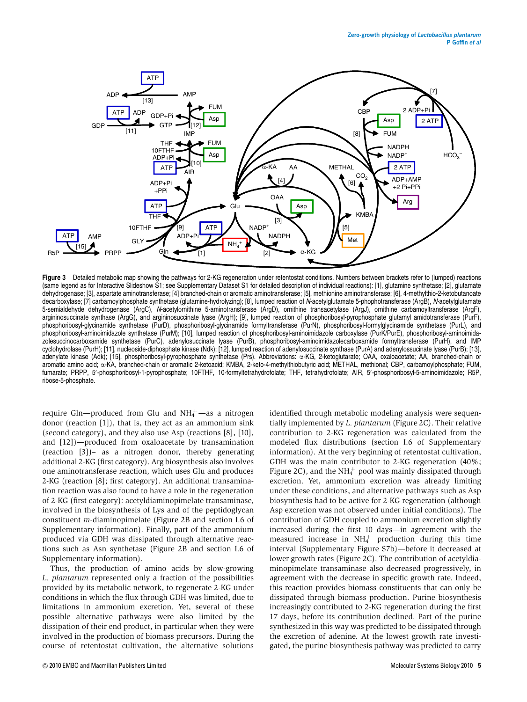<span id="page-4-0"></span>

Figure 3 Detailed metabolic map showing the pathways for 2-KG regeneration under retentostat conditions. Numbers between brackets refer to (lumped) reactions (same legend as for Interactive Slideshow S1; see Supplementary Dataset S1 for detailed description of individual reactions): [1], glutamine synthetase; [2], glutamate dehydrogenase; [3], aspartate aminotransferase; [4] branched-chain or aromatic aminotransferase; [5], methionine aminotransferase; [6], 4-methylthio-2-ketobutanoate decarboxylase; [7] carbamoylphosphate synthetase (glutamine-hydrolyzing); [8], lumped reaction of N-acetylglutamate 5-phophotransferase (ArgB), N-acetylglutamate 5-semialdehyde dehydrogenase (ArgC), N-acetylornithine 5-aminotransferase (ArgD), ornithine transacetylase (ArgJ), ornithine carbamoyltransferase (ArgF), argininosuccinate synthase (ArgG), and argininosuccinate lyase (ArgH); [9], lumped reaction of phosphoribosyl-pyrophosphate glutamyl amidotransferase (PurF), phosphoribosyl-glycinamide synthetase (PurD), phosphoribosyl-glycinamide formyltransferase (PurN), phosphoribosyl-formylglycinamide synthetase (PurL), and phosphoribosyl-aminoimidazole synthetase (PurM); [10], lumped reaction of phosphoribosyl-aminoimidazole carboxylase (PurK/PurE), phosphoribosyl-aminoimidazolesuccinocarboxamide synthetase (PurC), adenylosuccinate lyase (PurB), phosphoribosyl-aminoimidazolecarboxamide formyltransferase (PurH), and IMP cyclohydrolase (PurH); [11], nucleoside-diphosphate kinase (Ndk); [12], lumped reaction of adenylosuccinate synthase (PurA) and adenylossucinate lyase (PurB); [13], adenylate kinase (Adk); [15], phosphoribosyl-pyrophosphate synthetase (Prs). Abbreviations:  $\alpha$ -KG, 2-ketoglutarate; OAA, oxaloacetate; AA, branched-chain or aromatic amino acid;  $\alpha$ -KA, branched-chain or aromatic 2-ketoacid; KMBA, 2-keto-4-methylthiobutyric acid; METHAL, methional; CBP, carbamoylphosphate; FUM, fumarate; PRPP, 5'-phosphoribosyl-1-pyrophosphate; 10FTHF, 10-formyltetrahydrofolate; THF, tetrahydrofolate; AIR, 5'-phosphoribosyl-5-aminoimidazole; R5P, ribose-5-phosphate.

require Gln—produced from Glu and  $\mathrm{NH_4^+}$ —as a nitrogen donor (reaction [1]), that is, they act as an ammonium sink (second category), and they also use Asp (reactions [8], [10], and [12])—produced from oxaloacetate by transamination (reaction [3])– as a nitrogen donor, thereby generating additional 2-KG (first category). Arg biosynthesis also involves one aminotransferase reaction, which uses Glu and produces 2-KG (reaction [8]; first category). An additional transamination reaction was also found to have a role in the regeneration of 2-KG (first category): acetyldiaminopimelate transaminase, involved in the biosynthesis of Lys and of the peptidoglycan constituent m-diaminopimelate ([Figure 2B](#page-3-0) and section I.6 of Supplementary information). Finally, part of the ammonium produced via GDH was dissipated through alternative reactions such as Asn synthetase ([Figure 2B](#page-3-0) and section I.6 of Supplementary information).

Thus, the production of amino acids by slow-growing L. plantarum represented only a fraction of the possibilities provided by its metabolic network, to regenerate 2-KG under conditions in which the flux through GDH was limited, due to limitations in ammonium excretion. Yet, several of these possible alternative pathways were also limited by the dissipation of their end product, in particular when they were involved in the production of biomass precursors. During the course of retentostat cultivation, the alternative solutions identified through metabolic modeling analysis were sequentially implemented by L. plantarum [\(Figure 2C](#page-3-0)). Their relative contribution to 2-KG regeneration was calculated from the modeled flux distributions (section I.6 of Supplementary information). At the very beginning of retentostat cultivation, GDH was the main contributor to 2-KG regeneration (40%; [Figure 2C](#page-3-0)), and the  $\mathrm{NH}_4^+$  pool was mainly dissipated through excretion. Yet, ammonium excretion was already limiting under these conditions, and alternative pathways such as Asp biosynthesis had to be active for 2-KG regeneration (although Asp excretion was not observed under initial conditions). The contribution of GDH coupled to ammonium excretion slightly increased during the first 10 days—in agreement with the measured increase in  $NH_4^+$  production during this time interval (Supplementary Figure S7b)—before it decreased at lower growth rates [\(Figure 2C](#page-3-0)). The contribution of acetyldiaminopimelate transaminase also decreased progressively, in agreement with the decrease in specific growth rate. Indeed, this reaction provides biomass constituents that can only be dissipated through biomass production. Purine biosynthesis increasingly contributed to 2-KG regeneration during the first 17 days, before its contribution declined. Part of the purine synthesized in this way was predicted to be dissipated through the excretion of adenine. At the lowest growth rate investigated, the purine biosynthesis pathway was predicted to carry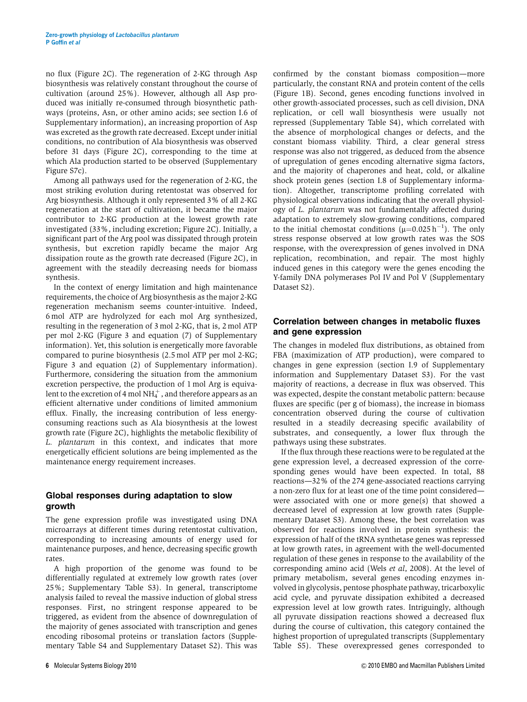no flux ([Figure 2C](#page-3-0)). The regeneration of 2-KG through Asp biosynthesis was relatively constant throughout the course of cultivation (around 25%). However, although all Asp produced was initially re-consumed through biosynthetic pathways (proteins, Asn, or other amino acids; see section I.6 of Supplementary information), an increasing proportion of Asp was excreted as the growth rate decreased. Except under initial conditions, no contribution of Ala biosynthesis was observed before 31 days ([Figure 2C](#page-3-0)), corresponding to the time at which Ala production started to be observed (Supplementary Figure S7c).

Among all pathways used for the regeneration of 2-KG, the most striking evolution during retentostat was observed for Arg biosynthesis. Although it only represented 3% of all 2-KG regeneration at the start of cultivation, it became the major contributor to 2-KG production at the lowest growth rate investigated (33%, including excretion; [Figure 2C\)](#page-3-0). Initially, a significant part of the Arg pool was dissipated through protein synthesis, but excretion rapidly became the major Arg dissipation route as the growth rate decreased [\(Figure 2C\)](#page-3-0), in agreement with the steadily decreasing needs for biomass synthesis.

In the context of energy limitation and high maintenance requirements, the choice of Arg biosynthesis as the major 2-KG regeneration mechanism seems counter-intuitive. Indeed, 6 mol ATP are hydrolyzed for each mol Arg synthesized, resulting in the regeneration of 3 mol 2-KG, that is, 2 mol ATP per mol 2-KG ([Figure 3](#page-4-0) and equation (7) of Supplementary information). Yet, this solution is energetically more favorable compared to purine biosynthesis (2.5 mol ATP per mol 2-KG; [Figure 3](#page-4-0) and equation (2) of Supplementary information). Furthermore, considering the situation from the ammonium excretion perspective, the production of 1 mol Arg is equivalent to the excretion of 4 mol NH $_4^+$  , and therefore appears as an efficient alternative under conditions of limited ammonium efflux. Finally, the increasing contribution of less energyconsuming reactions such as Ala biosynthesis at the lowest growth rate [\(Figure 2C\)](#page-3-0), highlights the metabolic flexibility of L. plantarum in this context, and indicates that more energetically efficient solutions are being implemented as the maintenance energy requirement increases.

# Global responses during adaptation to slow growth

The gene expression profile was investigated using DNA microarrays at different times during retentostat cultivation, corresponding to increasing amounts of energy used for maintenance purposes, and hence, decreasing specific growth rates.

A high proportion of the genome was found to be differentially regulated at extremely low growth rates (over 25%; Supplementary Table S3). In general, transcriptome analysis failed to reveal the massive induction of global stress responses. First, no stringent response appeared to be triggered, as evident from the absence of downregulation of the majority of genes associated with transcription and genes encoding ribosomal proteins or translation factors (Supplementary Table S4 and Supplementary Dataset S2). This was

confirmed by the constant biomass composition—more particularly, the constant RNA and protein content of the cells [\(Figure 1B](#page-1-0)). Second, genes encoding functions involved in other growth-associated processes, such as cell division, DNA replication, or cell wall biosynthesis were usually not repressed (Supplementary Table S4), which correlated with the absence of morphological changes or defects, and the constant biomass viability. Third, a clear general stress response was also not triggered, as deduced from the absence of upregulation of genes encoding alternative sigma factors, and the majority of chaperones and heat, cold, or alkaline shock protein genes (section I.8 of Supplementary information). Altogether, transcriptome profiling correlated with physiological observations indicating that the overall physiology of L. plantarum was not fundamentally affected during adaptation to extremely slow-growing conditions, compared to the initial chemostat conditions  $(\mu=0.025 \text{ h}^{-1})$ . The only stress response observed at low growth rates was the SOS response, with the overexpression of genes involved in DNA replication, recombination, and repair. The most highly induced genes in this category were the genes encoding the Y-family DNA polymerases Pol IV and Pol V (Supplementary Dataset S2).

# Correlation between changes in metabolic fluxes and gene expression

The changes in modeled flux distributions, as obtained from FBA (maximization of ATP production), were compared to changes in gene expression (section I.9 of Supplementary information and Supplementary Dataset S3). For the vast majority of reactions, a decrease in flux was observed. This was expected, despite the constant metabolic pattern: because fluxes are specific (per g of biomass), the increase in biomass concentration observed during the course of cultivation resulted in a steadily decreasing specific availability of substrates, and consequently, a lower flux through the pathways using these substrates.

If the flux through these reactions were to be regulated at the gene expression level, a decreased expression of the corresponding genes would have been expected. In total, 88 reactions—32% of the 274 gene-associated reactions carrying a non-zero flux for at least one of the time point considered were associated with one or more gene(s) that showed a decreased level of expression at low growth rates (Supplementary Dataset S3). Among these, the best correlation was observed for reactions involved in protein synthesis: the expression of half of the tRNA synthetase genes was repressed at low growth rates, in agreement with the well-documented regulation of these genes in response to the availability of the corresponding amino acid (Wels et al[, 2008](#page-11-0)). At the level of primary metabolism, several genes encoding enzymes involved in glycolysis, pentose phosphate pathway, tricarboxylic acid cycle, and pyruvate dissipation exhibited a decreased expression level at low growth rates. Intriguingly, although all pyruvate dissipation reactions showed a decreased flux during the course of cultivation, this category contained the highest proportion of upregulated transcripts (Supplementary Table S5). These overexpressed genes corresponded to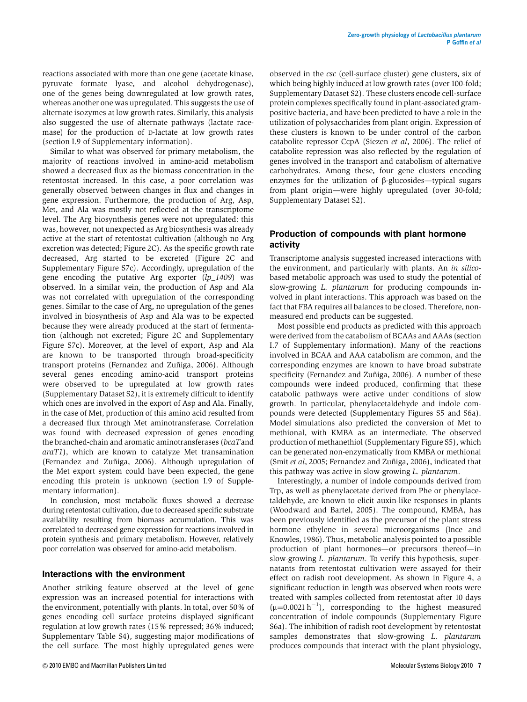reactions associated with more than one gene (acetate kinase, pyruvate formate lyase, and alcohol dehydrogenase), one of the genes being downregulated at low growth rates, whereas another one was upregulated. This suggests the use of alternate isozymes at low growth rates. Similarly, this analysis also suggested the use of alternate pathways (lactate racemase) for the production of D-lactate at low growth rates (section I.9 of Supplementary information).

Similar to what was observed for primary metabolism, the majority of reactions involved in amino-acid metabolism showed a decreased flux as the biomass concentration in the retentostat increased. In this case, a poor correlation was generally observed between changes in flux and changes in gene expression. Furthermore, the production of Arg, Asp, Met, and Ala was mostly not reflected at the transcriptome level. The Arg biosynthesis genes were not upregulated: this was, however, not unexpected as Arg biosynthesis was already active at the start of retentostat cultivation (although no Arg excretion was detected; [Figure 2C\)](#page-3-0). As the specific growth rate decreased, Arg started to be excreted ([Figure 2C](#page-3-0) and Supplementary Figure S7c). Accordingly, upregulation of the gene encoding the putative Arg exporter  $(lp_1409)$  was observed. In a similar vein, the production of Asp and Ala was not correlated with upregulation of the corresponding genes. Similar to the case of Arg, no upregulation of the genes involved in biosynthesis of Asp and Ala was to be expected because they were already produced at the start of fermentation (although not excreted; [Figure 2C](#page-3-0) and Supplementary Figure S7c). Moreover, at the level of export, Asp and Ala are known to be transported through broad-specificity transport proteins (Fernandez and Zuñiga, 2006). Although several genes encoding amino-acid transport proteins were observed to be upregulated at low growth rates (Supplementary Dataset S2), it is extremely difficult to identify which ones are involved in the export of Asp and Ala. Finally, in the case of Met, production of this amino acid resulted from a decreased flux through Met aminotransferase. Correlation was found with decreased expression of genes encoding the branched-chain and aromatic aminotransferases (bcaTand araT1), which are known to catalyze Met transamination (Fernandez and Zuñiga, 2006). Although upregulation of the Met export system could have been expected, the gene encoding this protein is unknown (section I.9 of Supplementary information).

In conclusion, most metabolic fluxes showed a decrease during retentostat cultivation, due to decreased specific substrate availability resulting from biomass accumulation. This was correlated to decreased gene expression for reactions involved in protein synthesis and primary metabolism. However, relatively poor correlation was observed for amino-acid metabolism.

### Interactions with the environment

Another striking feature observed at the level of gene expression was an increased potential for interactions with the environment, potentially with plants. In total, over 50% of genes encoding cell surface proteins displayed significant regulation at low growth rates (15% repressed; 36% induced; Supplementary Table S4), suggesting major modifications of the cell surface. The most highly upregulated genes were

observed in the csc (cell-surface cluster) gene clusters, six of which being highly induced at low growth rates (over 100-fold; Supplementary Dataset S2). These clusters encode cell-surface protein complexes specifically found in plant-associated grampositive bacteria, and have been predicted to have a role in the utilization of polysaccharides from plant origin. Expression of these clusters is known to be under control of the carbon catabolite repressor CcpA ([Siezen](#page-10-0) et al, 2006). The relief of catabolite repression was also reflected by the regulation of genes involved in the transport and catabolism of alternative carbohydrates. Among these, four gene clusters encoding enzymes for the utilization of b-glucosides—typical sugars from plant origin—were highly upregulated (over 30-fold; Supplementary Dataset S2).

# Production of compounds with plant hormone activity

Transcriptome analysis suggested increased interactions with the environment, and particularly with plants. An in silicobased metabolic approach was used to study the potential of slow-growing L. plantarum for producing compounds involved in plant interactions. This approach was based on the fact that FBA requires all balances to be closed. Therefore, nonmeasured end products can be suggested.

Most possible end products as predicted with this approach were derived from the catabolism of BCAAs and AAAs (section I.7 of Supplementary information). Many of the reactions involved in BCAA and AAA catabolism are common, and the corresponding enzymes are known to have broad substrate specificity (Fernandez and Zuñiga, 2006). A number of these compounds were indeed produced, confirming that these catabolic pathways were active under conditions of slow growth. In particular, phenylacetaldehyde and indole compounds were detected (Supplementary Figures S5 and S6a). Model simulations also predicted the conversion of Met to methional, with KMBA as an intermediate. The observed production of methanethiol (Supplementary Figure S5), which can be generated non-enzymatically from KMBA or methional (Smit et al, 2005; Fernandez and Zuñiga, 2006), indicated that this pathway was active in slow-growing L. plantarum.

Interestingly, a number of indole compounds derived from Trp, as well as phenylacetate derived from Phe or phenylacetaldehyde, are known to elicit auxin-like responses in plants [\(Woodward and Bartel, 2005](#page-11-0)). The compound, KMBA, has been previously identified as the precursor of the plant stress hormone ethylene in several microorganisms ([Ince and](#page-10-0) [Knowles, 1986](#page-10-0)). Thus, metabolic analysis pointed to a possible production of plant hormones—or precursors thereof—in slow-growing L. plantarum. To verify this hypothesis, supernatants from retentostat cultivation were assayed for their effect on radish root development. As shown in [Figure 4](#page-7-0), a significant reduction in length was observed when roots were treated with samples collected from retentostat after 10 days  $(\mu=0.0021 h^{-1})$ , corresponding to the highest measured concentration of indole compounds (Supplementary Figure S6a). The inhibition of radish root development by retentostat samples demonstrates that slow-growing *L. plantarum* produces compounds that interact with the plant physiology,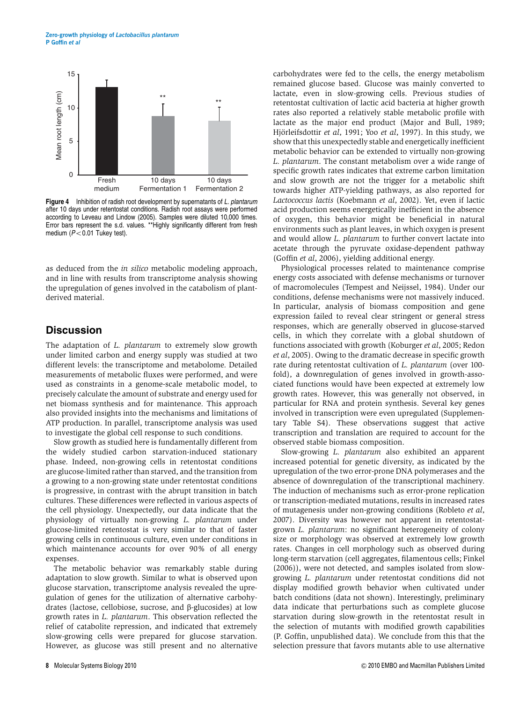<span id="page-7-0"></span>![](_page_7_Figure_1.jpeg)

Figure 4 Inhibition of radish root development by supernatants of L. plantarum after 10 days under retentostat conditions. Radish root assays were performed according to [Leveau and Lindow \(2005\)](#page-10-0). Samples were diluted 10,000 times. Error bars represent the s.d. values. \*\*Highly significantly different from fresh medium ( $P < 0.01$  Tukey test).

as deduced from the in silico metabolic modeling approach, and in line with results from transcriptome analysis showing the upregulation of genes involved in the catabolism of plantderived material.

# **Discussion**

The adaptation of L. plantarum to extremely slow growth under limited carbon and energy supply was studied at two different levels: the transcriptome and metabolome. Detailed measurements of metabolic fluxes were performed, and were used as constraints in a genome-scale metabolic model, to precisely calculate the amount of substrate and energy used for net biomass synthesis and for maintenance. This approach also provided insights into the mechanisms and limitations of ATP production. In parallel, transcriptome analysis was used to investigate the global cell response to such conditions.

Slow growth as studied here is fundamentally different from the widely studied carbon starvation-induced stationary phase. Indeed, non-growing cells in retentostat conditions are glucose-limited rather than starved, and the transition from a growing to a non-growing state under retentostat conditions is progressive, in contrast with the abrupt transition in batch cultures. These differences were reflected in various aspects of the cell physiology. Unexpectedly, our data indicate that the physiology of virtually non-growing L. plantarum under glucose-limited retentostat is very similar to that of faster growing cells in continuous culture, even under conditions in which maintenance accounts for over 90% of all energy expenses.

The metabolic behavior was remarkably stable during adaptation to slow growth. Similar to what is observed upon glucose starvation, transcriptome analysis revealed the upregulation of genes for the utilization of alternative carbohydrates (lactose, cellobiose, sucrose, and  $\beta$ -glucosides) at low growth rates in L. plantarum. This observation reflected the relief of catabolite repression, and indicated that extremely slow-growing cells were prepared for glucose starvation. However, as glucose was still present and no alternative carbohydrates were fed to the cells, the energy metabolism remained glucose based. Glucose was mainly converted to lactate, even in slow-growing cells. Previous studies of retentostat cultivation of lactic acid bacteria at higher growth rates also reported a relatively stable metabolic profile with lactate as the major end product ([Major and Bull, 1989](#page-10-0); Hjörleifsdottir et al, 1991; Yoo et al[, 1997](#page-11-0)). In this study, we show that this unexpectedly stable and energetically inefficient metabolic behavior can be extended to virtually non-growing L. plantarum. The constant metabolism over a wide range of specific growth rates indicates that extreme carbon limitation and slow growth are not the trigger for a metabolic shift towards higher ATP-yielding pathways, as also reported for Lactococcus lactis ([Koebmann](#page-10-0) et al, 2002). Yet, even if lactic acid production seems energetically inefficient in the absence of oxygen, this behavior might be beneficial in natural environments such as plant leaves, in which oxygen is present and would allow L. plantarum to further convert lactate into acetate through the pyruvate oxidase-dependent pathway [\(Goffin](#page-10-0) et al, 2006), yielding additional energy.

Physiological processes related to maintenance comprise energy costs associated with defense mechanisms or turnover of macromolecules [\(Tempest and Neijssel, 1984](#page-10-0)). Under our conditions, defense mechanisms were not massively induced. In particular, analysis of biomass composition and gene expression failed to reveal clear stringent or general stress responses, which are generally observed in glucose-starved cells, in which they correlate with a global shutdown of functions associated with growth ([Koburger](#page-10-0) et al, 2005; [Redon](#page-10-0) et al[, 2005](#page-10-0)). Owing to the dramatic decrease in specific growth rate during retentostat cultivation of L. plantarum (over 100 fold), a downregulation of genes involved in growth-associated functions would have been expected at extremely low growth rates. However, this was generally not observed, in particular for RNA and protein synthesis. Several key genes involved in transcription were even upregulated (Supplementary Table S4). These observations suggest that active transcription and translation are required to account for the observed stable biomass composition.

Slow-growing L. plantarum also exhibited an apparent increased potential for genetic diversity, as indicated by the upregulation of the two error-prone DNA polymerases and the absence of downregulation of the transcriptional machinery. The induction of mechanisms such as error-prone replication or transcription-mediated mutations, results in increased rates of mutagenesis under non-growing conditions ([Robleto](#page-10-0) et al, [2007](#page-10-0)). Diversity was however not apparent in retentostatgrown L. plantarum: no significant heterogeneity of colony size or morphology was observed at extremely low growth rates. Changes in cell morphology such as observed during long-term starvation (cell aggregates, filamentous cells; [Finkel](#page-10-0) [\(2006\)](#page-10-0)), were not detected, and samples isolated from slowgrowing L. plantarum under retentostat conditions did not display modified growth behavior when cultivated under batch conditions (data not shown). Interestingly, preliminary data indicate that perturbations such as complete glucose starvation during slow-growth in the retentostat result in the selection of mutants with modified growth capabilities (P. Goffin, unpublished data). We conclude from this that the selection pressure that favors mutants able to use alternative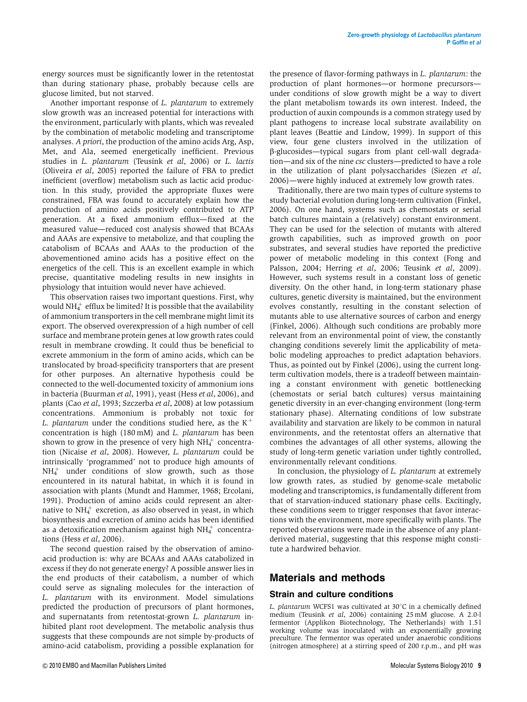energy sources must be significantly lower in the retentostat than during stationary phase, probably because cells are glucose limited, but not starved.

Another important response of L. plantarum to extremely slow growth was an increased potential for interactions with the environment, particularly with plants, which was revealed by the combination of metabolic modeling and transcriptome analyses. A priori, the production of the amino acids Arg, Asp, Met, and Ala, seemed energetically inefficient. Previous studies in L. plantarum ([Teusink](#page-11-0) et al, 2006) or L. lactis [\(Oliveira](#page-10-0) et al, 2005) reported the failure of FBA to predict inefficient (overflow) metabolism such as lactic acid production. In this study, provided the appropriate fluxes were constrained, FBA was found to accurately explain how the production of amino acids positively contributed to ATP generation. At a fixed ammonium efflux—fixed at the measured value—reduced cost analysis showed that BCAAs and AAAs are expensive to metabolize, and that coupling the catabolism of BCAAs and AAAs to the production of the abovementioned amino acids has a positive effect on the energetics of the cell. This is an excellent example in which precise, quantitative modeling results in new insights in physiology that intuition would never have achieved.

This observation raises two important questions. First, why would NH $_4^+$  efflux be limited? It is possible that the availability of ammonium transporters in the cell membrane might limit its export. The observed overexpression of a high number of cell surface and membrane protein genes at low growth rates could result in membrane crowding. It could thus be beneficial to excrete ammonium in the form of amino acids, which can be translocated by broad-specificity transporters that are present for other purposes. An alternative hypothesis could be connected to the well-documented toxicity of ammonium ions in bacteria ([Buurman](#page-10-0) et al, 1991), yeast (Hess et al[, 2006](#page-10-0)), and plants (Cao et al[, 1993; Szczerba](#page-10-0) et al, 2008) at low potassium concentrations. Ammonium is probably not toxic for L. plantarum under the conditions studied here, as the  $K^+$ concentration is high (180 mM) and L. plantarum has been shown to grow in the presence of very high  $\mathrm{NH}_4^+$  concentration [\(Nicaise](#page-10-0) et al, 2008). However, L. plantarum could be intrinsically 'programmed' not to produce high amounts of  $NH_4^+$  under conditions of slow growth, such as those encountered in its natural habitat, in which it is found in association with plants ([Mundt and Hammer, 1968; Ercolani,](#page-10-0) [1991\)](#page-10-0). Production of amino acids could represent an alternative to  $\mathrm{NH}_4^+$  excretion, as also observed in yeast, in which biosynthesis and excretion of amino acids has been identified as a detoxification mechanism against high  $\mathrm{NH}_4^+$  concentrations (Hess et al[, 2006](#page-10-0)).

The second question raised by the observation of aminoacid production is: why are BCAAs and AAAs catabolized in excess if they do not generate energy? A possible answer lies in the end products of their catabolism, a number of which could serve as signaling molecules for the interaction of L. plantarum with its environment. Model simulations predicted the production of precursors of plant hormones, and supernatants from retentostat-grown L. plantarum inhibited plant root development. The metabolic analysis thus suggests that these compounds are not simple by-products of amino-acid catabolism, providing a possible explanation for the presence of flavor-forming pathways in L. plantarum: the production of plant hormones—or hormone precursors under conditions of slow growth might be a way to divert the plant metabolism towards its own interest. Indeed, the production of auxin compounds is a common strategy used by plant pathogens to increase local substrate availability on plant leaves ([Beattie and Lindow, 1999\)](#page-10-0). In support of this view, four gene clusters involved in the utilization of b-glucosides—typical sugars from plant cell-wall degradation—and six of the nine csc clusters—predicted to have a role in the utilization of plant polysaccharides ([Siezen](#page-10-0) et al, [2006](#page-10-0))—were highly induced at extremely low growth rates.

Traditionally, there are two main types of culture systems to study bacterial evolution during long-term cultivation [\(Finkel,](#page-10-0) [2006](#page-10-0)). On one hand, systems such as chemostats or serial batch cultures maintain a (relatively) constant environment. They can be used for the selection of mutants with altered growth capabilities, such as improved growth on poor substrates, and several studies have reported the predictive power of metabolic modeling in this context ([Fong and](#page-10-0) [Palsson, 2004; Herring](#page-10-0) et al, 2006; [Teusink](#page-11-0) et al, 2009). However, such systems result in a constant loss of genetic diversity. On the other hand, in long-term stationary phase cultures, genetic diversity is maintained, but the environment evolves constantly, resulting in the constant selection of mutants able to use alternative sources of carbon and energy [\(Finkel, 2006\)](#page-10-0). Although such conditions are probably more relevant from an environmental point of view, the constantly changing conditions severely limit the applicability of metabolic modeling approaches to predict adaptation behaviors. Thus, as pointed out by [Finkel](#page-10-0) (2006), using the current longterm cultivation models, there is a tradeoff between maintaining a constant environment with genetic bottlenecking (chemostats or serial batch cultures) versus maintaining genetic diversity in an ever-changing environment (long-term stationary phase). Alternating conditions of low substrate availability and starvation are likely to be common in natural environments, and the retentostat offers an alternative that combines the advantages of all other systems, allowing the study of long-term genetic variation under tightly controlled, environmentally relevant conditions.

In conclusion, the physiology of L. plantarum at extremely low growth rates, as studied by genome-scale metabolic modeling and transcriptomics, is fundamentally different from that of starvation-induced stationary phase cells. Excitingly, these conditions seem to trigger responses that favor interactions with the environment, more specifically with plants. The reported observations were made in the absence of any plantderived material, suggesting that this response might constitute a hardwired behavior.

# Materials and methods

### Strain and culture conditions

L. plantarum WCFS1 was cultivated at  $30^{\circ}$ C in a chemically defined medium ([Teusink](#page-11-0) et al, 2006) containing 25 mM glucose. A 2.0-l fermentor (Applikon Biotechnology, The Netherlands) with 1.5 l working volume was inoculated with an exponentially growing preculture. The fermentor was operated under anaerobic conditions (nitrogen atmosphere) at a stirring speed of 200 r.p.m., and pH was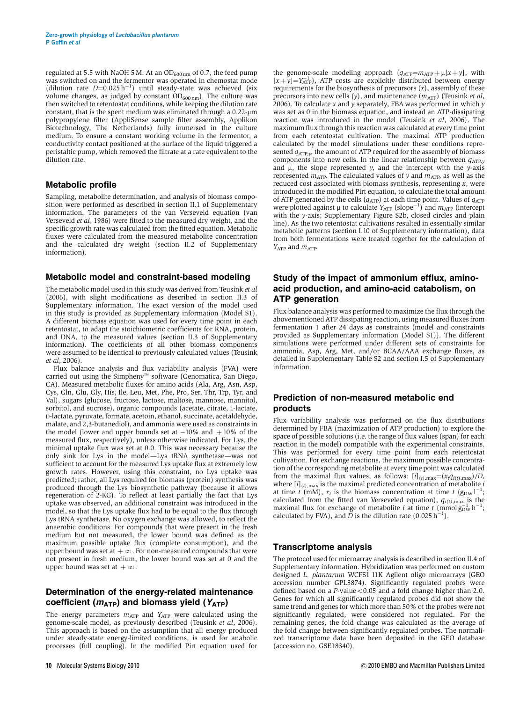regulated at 5.5 with NaOH 5 M. At an  $OD_{600 \text{ nm}}$  of 0.7, the feed pump was switched on and the fermentor was operated in chemostat mode (dilution rate  $D=0.025 \text{ h}^{-1}$ ) until steady-state was achieved (six volume changes, as judged by constant  $OD_{600 \text{ nm}}$ ). The culture was then switched to retentostat conditions, while keeping the dilution rate constant, that is the spent medium was eliminated through a  $0.22$ - $\mu$ m polypropylene filter (AppliSense sample filter assembly, Applikon Biotechnology, The Netherlands) fully immersed in the culture medium. To ensure a constant working volume in the fermentor, a conductivity contact positioned at the surface of the liquid triggered a peristaltic pump, which removed the filtrate at a rate equivalent to the dilution rate.

### Metabolic profile

Sampling, metabolite determination, and analysis of biomass composition were performed as described in section II.1 of Supplementary information. The parameters of the van Verseveld equation [\(van](#page-11-0) [Verseveld](#page-11-0) et al, 1986) were fitted to the measured dry weight, and the specific growth rate was calculated from the fitted equation. Metabolic fluxes were calculated from the measured metabolite concentration and the calculated dry weight (section II.2 of Supplementary information).

### Metabolic model and constraint-based modeling

The metabolic model used in this study was derived from [Teusink](#page-11-0) et al [\(2006\)](#page-11-0), with slight modifications as described in section II.3 of Supplementary information. The exact version of the model used in this study is provided as Supplementary information (Model S1). A different biomass equation was used for every time point in each retentostat, to adapt the stoichiometric coefficients for RNA, protein, and DNA, to the measured values (section II.3 of Supplementary information). The coefficients of all other biomass components were assumed to be identical to previously calculated values [\(Teusink](#page-11-0) et al[, 2006\)](#page-11-0).

Flux balance analysis and flux variability analysis (FVA) were carried out using the Simpheny<sup> $M$ </sup> software (Genomatica, San Diego, CA). Measured metabolic fluxes for amino acids (Ala, Arg, Asn, Asp, Cys, Gln, Glu, Gly, His, Ile, Leu, Met, Phe, Pro, Ser, Thr, Trp, Tyr, and Val), sugars (glucose, fructose, lactose, maltose, mannose, mannitol, sorbitol, and sucrose), organic compounds (acetate, citrate, L-lactate, D-lactate, pyruvate, formate, acetoin, ethanol, succinate, acetaldehyde, malate, and 2,3-butanediol), and ammonia were used as constraints in the model (lower and upper bounds set at  $-10\%$  and  $+10\%$  of the measured flux, respectively), unless otherwise indicated. For Lys, the minimal uptake flux was set at 0.0. This was necessary because the only sink for Lys in the model—Lys tRNA synthetase—was not sufficient to account for the measured Lys uptake flux at extremely low growth rates. However, using this constraint, no Lys uptake was predicted; rather, all Lys required for biomass (protein) synthesis was produced through the Lys biosynthetic pathway (because it allows regeneration of 2-KG). To reflect at least partially the fact that Lys uptake was observed, an additional constraint was introduced in the model, so that the Lys uptake flux had to be equal to the flux through Lys tRNA synthetase. No oxygen exchange was allowed, to reflect the anaerobic conditions. For compounds that were present in the fresh medium but not measured, the lower bound was defined as the maximum possible uptake flux (complete consumption), and the upper bound was set at  $+\infty$ . For non-measured compounds that were not present in fresh medium, the lower bound was set at 0 and the upper bound was set at  $+\infty$ .

### Determination of the energy-related maintenance coefficient ( $m_{ATP}$ ) and biomass yield ( $Y_{ATP}$ )

The energy parameters  $m_{ATP}$  and  $Y_{ATP}$  were calculated using the genome-scale model, as previously described ([Teusink](#page-11-0) et al, 2006). This approach is based on the assumption that all energy produced under steady-state energy-limited conditions, is used for anabolic processes (full coupling). In the modified Pirt equation used for the genome-scale modeling approach  $(q_{ATP} = m_{ATP} + \mu[x + y]$ , with  $[x + \bar{y}] = Y_{\text{ATP}}^{-1}$ , ATP costs are explicitly distributed between energy requirements for the biosynthesis of precursors  $(x)$ , assembly of these precursors into new cells  $(y)$ , and maintenance  $(m_{ATP})$  ([Teusink](#page-11-0) *et al*, [2006](#page-11-0)). To calculate  $x$  and  $y$  separately, FBA was performed in which  $y$ was set as 0 in the biomass equation, and instead an ATP-dissipating reaction was introduced in the model ([Teusink](#page-11-0) et al, 2006). The maximum flux through this reaction was calculated at every time point from each retentostat cultivation. The maximal ATP production calculated by the model simulations under these conditions represented  $q_{ATP}$ <sub>y</sub>, the amount of ATP required for the assembly of biomass components into new cells. In the linear relationship between  $q_{ATP,y}$ and  $\mu$ , the slope represented  $y$ , and the intercept with the y-axis represented  $m_{ATP}$ . The calculated values of y and  $m_{ATP}$ , as well as the reduced cost associated with biomass synthesis, representing  $x$ , were introduced in the modified Pirt equation, to calculate the total amount of ATP generated by the cells  $(q_{ATP})$  at each time point. Values of  $q_{ATP}$ were plotted against  $\mu$  to calculate  $Y_{ATP}$  (slope<sup>-1</sup>) and  $m_{ATP}$  (intercept with the y-axis; Supplementary Figure S2b, closed circles and plain line). As the two retentostat cultivations resulted in essentially similar metabolic patterns (section I.10 of Supplementary information), data from both fermentations were treated together for the calculation of  $Y_{ATP}$  and  $m_{ATP}$ .

### Study of the impact of ammonium efflux, aminoacid production, and amino-acid catabolism, on ATP generation

Flux balance analysis was performed to maximize the flux through the abovementioned ATP dissipating reaction, using measured fluxes from fermentation 1 after 24 days as constraints (model and constraints provided as Supplementary information (Model S1)). The different simulations were performed under different sets of constraints for ammonia, Asp, Arg, Met, and/or BCAA/AAA exchange fluxes, as detailed in Supplementary Table S2 and section I.5 of Supplementary information.

### Prediction of non-measured metabolic end products

Flux variability analysis was performed on the flux distributions determined by FBA (maximization of ATP production) to explore the space of possible solutions (i.e. the range of flux values (span) for each reaction in the model) compatible with the experimental constraints. This was performed for every time point from each retentostat cultivation. For exchange reactions, the maximum possible concentration of the corresponding metabolite at every time point was calculated from the maximal flux values, as follows:  $[i]_{(t),\text{max}} = (x_t q_{i(t),\text{max}})/D$ , where  $[i]_{(t),\text{max}}$  is the maximal predicted concentration of metabolite i at time t (mM),  $x_t$  is the biomass concentration at time t (g<sub>DW</sub> l<sup>-1</sup>; calculated from the fitted van Verseveled equation),  $q_{i(t),\text{max}}$  is the maximal flux for exchange of metabolite *i* at time *t* (mmol  $g_{\text{DW}}^{-1}$  h<sup>-1</sup>; calculated by FVA), and  $\overline{D}$  is the dilution rate (0.025 h<sup>-1</sup>).

### Transcriptome analysis

The protocol used for microarray analysis is described in section II.4 of Supplementary information. Hybridization was performed on custom designed L. plantarum WCFS1 11K Agilent oligo microarrays (GEO accession number GPL5874). Significantly regulated probes were defined based on a  $P$ -value < 0.05 and a fold change higher than 2.0. Genes for which all significantly regulated probes did not show the same trend and genes for which more than 50% of the probes were not significantly regulated, were considered not regulated. For the remaining genes, the fold change was calculated as the average of the fold change between significantly regulated probes. The normalized transcriptome data have been deposited in the GEO database (accession no. GSE18340).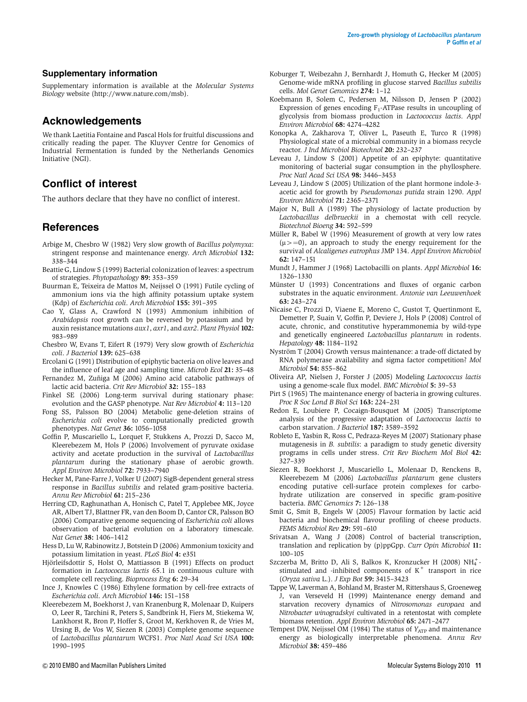### <span id="page-10-0"></span>Supplementary information

Supplementary information is available at the Molecular Systems Biology website ([http://www.nature.com/msb\)](http://www.nature.com/msb).

# Acknowledgements

We thank Laetitia Fontaine and Pascal Hols for fruitful discussions and critically reading the paper. The Kluyver Centre for Genomics of Industrial Fermentation is funded by the Netherlands Genomics Initiative (NGI).

# Conflict of interest

The authors declare that they have no conflict of interest.

# References

- Arbige M, Chesbro W (1982) Very slow growth of Bacillus polymyxa: stringent response and maintenance energy. Arch Microbiol 132: 338–344
- Beattie G, Lindow S (1999) Bacterial colonization of leaves: a spectrum of strategies. Phytopathology 89: 353–359
- Buurman E, Teixeira de Mattos M, Neijssel O (1991) Futile cycling of ammonium ions via the high affinity potassium uptake system (Kdp) of Escherichia coli. Arch Microbiol 155: 391–395
- Cao Y, Glass A, Crawford N (1993) Ammonium inhibition of Arabidopsis root growth can be reversed by potassium and by auxin resistance mutations aux1, axr1, and axr2. Plant Physiol 102: 983–989
- Chesbro W, Evans T, Eifert R (1979) Very slow growth of Escherichia coli. J Bacteriol 139: 625–638
- Ercolani G (1991) Distribution of epiphytic bacteria on olive leaves and the influence of leaf age and sampling time. Microb Ecol 21: 35-48
- Fernandez M, Zuñiga M (2006) Amino acid catabolic pathways of lactic acid bacteria. Crit Rev Microbiol 32: 155–183
- Finkel SE (2006) Long-term survival during stationary phase: evolution and the GASP phenotype. Nat Rev Microbiol 4: 113–120
- Fong SS, Palsson BO (2004) Metabolic gene-deletion strains of Escherichia coli evolve to computationally predicted growth phenotypes. Nat Genet 36: 1056–1058
- Goffin P, Muscariello L, Lorquet F, Stukkens A, Prozzi D, Sacco M, Kleerebezem M, Hols P (2006) Involvement of pyruvate oxidase activity and acetate production in the survival of Lactobacillus plantarum during the stationary phase of aerobic growth. Appl Environ Microbiol 72: 7933–7940
- Hecker M, Pane-Farre J, Volker U (2007) SigB-dependent general stress response in Bacillus subtilis and related gram-positive bacteria. Annu Rev Microbiol 61: 215–236
- Herring CD, Raghunathan A, Honisch C, Patel T, Applebee MK, Joyce AR, Albert TJ, Blattner FR, van den Boom D, Cantor CR, Palsson BO (2006) Comparative genome sequencing of Escherichia coli allows observation of bacterial evolution on a laboratory timescale. Nat Genet 38: 1406–1412
- Hess D, Lu W, Rabinowitz J, Botstein D (2006) Ammonium toxicity and potassium limitation in yeast. PLoS Biol 4: e351
- Hjörleifsdottir S, Holst O, Mattiasson B (1991) Effects on product formation in Lactococcus lactis 65.1 in continuous culture with complete cell recycling. Bioprocess Eng 6: 29–34
- Ince J, Knowles C (1986) Ethylene formation by cell-free extracts of Escherichia coli. Arch Microbiol 146: 151–158
- Kleerebezem M, Boekhorst J, van Kranenburg R, Molenaar D, Kuipers O, Leer R, Tarchini R, Peters S, Sandbrink H, Fiers M, Stiekema W, Lankhorst R, Bron P, Hoffer S, Groot M, Kerkhoven R, de Vries M, Ursing B, de Vos W, Siezen R (2003) Complete genome sequence of Lactobacillus plantarum WCFS1. Proc Natl Acad Sci USA 100: 1990–1995
- Koburger T, Weibezahn J, Bernhardt J, Homuth G, Hecker M (2005) Genome-wide mRNA profiling in glucose starved Bacillus subtilis cells. Mol Genet Genomics 274: 1–12
- Koebmann B, Solem C, Pedersen M, Nilsson D, Jensen P (2002) Expression of genes encoding  $F_1$ -ATPase results in uncoupling of glycolysis from biomass production in Lactococcus lactis. Appl Environ Microbiol 68: 4274–4282
- Konopka A, Zakharova T, Oliver L, Paseuth E, Turco R (1998) Physiological state of a microbial community in a biomass recycle reactor. J Ind Microbiol Biotechnol 20: 232–237
- Leveau J, Lindow S (2001) Appetite of an epiphyte: quantitative monitoring of bacterial sugar consumption in the phyllosphere. Proc Natl Acad Sci USA 98: 3446–3453
- Leveau J, Lindow S (2005) Utilization of the plant hormone indole-3 acetic acid for growth by Pseudomonas putida strain 1290. Appl Environ Microbiol 71: 2365–2371
- Major N, Bull A (1989) The physiology of lactate production by Lactobacillus delbrueckii in a chemostat with cell recycle. Biotechnol Bioeng 34: 592–599
- Müller R, Babel W (1996) Measurement of growth at very low rates  $(\mu \geq 0)$ , an approach to study the energy requirement for the survival of Alcaligenes eutrophus JMP 134. Appl Environ Microbiol 62: 147–151
- Mundt J, Hammer J (1968) Lactobacilli on plants. Appl Microbiol 16: 1326–1330
- Münster U (1993) Concentrations and fluxes of organic carbon substrates in the aquatic environment. Antonie van Leeuwenhoek 63: 243–274
- Nicaise C, Prozzi D, Viaene E, Moreno C, Gustot T, Quertinmont E, Demetter P, Suain V, Goffin P, Deviere J, Hols P (2008) Control of acute, chronic, and constitutive hyperammonemia by wild-type and genetically engineered Lactobacillus plantarum in rodents. Hepatology 48: 1184–1192
- Nyström T (2004) Growth versus maintenance: a trade-off dictated by RNA polymerase availability and sigma factor competition? Mol Microbiol 54: 855–862
- Oliveira AP, Nielsen J, Forster J (2005) Modeling Lactococcus lactis using a genome-scale flux model. BMC Microbiol 5: 39–53
- Pirt S (1965) The maintenance energy of bacteria in growing cultures. Proc R Soc Lond B Biol Sci 163: 224–231
- Redon E, Loubiere P, Cocaign-Bousquet M (2005) Transcriptome analysis of the progressive adaptation of Lactococcus lactis to carbon starvation. J Bacteriol 187: 3589–3592
- Robleto E, Yasbin R, Ross C, Pedraza-Reyes M (2007) Stationary phase mutagenesis in B. subtilis: a paradigm to study genetic diversity programs in cells under stress. Crit Rev Biochem Mol Biol 42: 327–339
- Siezen R, Boekhorst J, Muscariello L, Molenaar D, Renckens B, Kleerebezem M (2006) Lactobacillus plantarum gene clusters encoding putative cell-surface protein complexes for carbohydrate utilization are conserved in specific gram-positive bacteria. BMC Genomics 7: 126–138
- Smit G, Smit B, Engels W (2005) Flavour formation by lactic acid bacteria and biochemical flavour profiling of cheese products. FEMS Microbiol Rev 29: 591–610
- Srivatsan A, Wang J (2008) Control of bacterial transcription, translation and replication by (p)ppGpp. Curr Opin Microbiol 11: 100–105
- Szczerba M, Britto D, Ali S, Balkos K, Kronzucker H (2008) NH<sub>4</sub><sup>+</sup>stimulated and -inhibited components of  $K^+$  transport in rice (Oryza sativa L.). J Exp Bot 59: 3415–3423
- Tappe W, Laverman A, Bohland M, Braster M, Rittershaus S, Groeneweg J, van Verseveld H (1999) Maintenance energy demand and starvation recovery dynamics of Nitrosomonas europaea and Nitrobacter winogradskyi cultivated in a retentostat with complete biomass retention. Appl Environ Microbiol 65: 2471–2477
- Tempest DW, Neijssel OM (1984) The status of  $Y_{ATP}$  and maintenance energy as biologically interpretable phenomena. Annu Rev Microbiol 38: 459–486